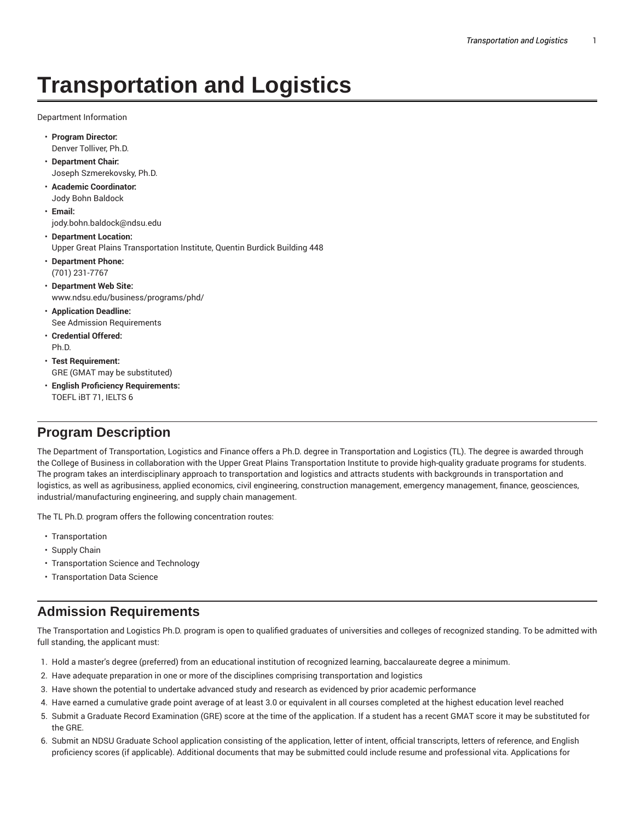# **Transportation and Logistics**

Department Information

- **Program Director:** Denver Tolliver, Ph.D.
- **Department Chair:** Joseph Szmerekovsky, Ph.D.
- **Academic Coordinator:** Jody Bohn Baldock
- **Email:** jody.bohn.baldock@ndsu.edu
- **Department Location:** Upper Great Plains Transportation Institute, Quentin Burdick Building 448
- **Department Phone:** (701) 231-7767
- **Department Web Site:** www.ndsu.edu/business/programs/phd/
- **Application Deadline:** See Admission Requirements
- **Credential Offered:** Ph.D.
- **Test Requirement:** GRE (GMAT may be substituted)
- **English Proficiency Requirements:** TOEFL iBT 71, IELTS 6

# **Program Description**

The Department of Transportation, Logistics and Finance offers a Ph.D. degree in Transportation and Logistics (TL). The degree is awarded through the College of Business in collaboration with the Upper Great Plains Transportation Institute to provide high-quality graduate programs for students. The program takes an interdisciplinary approach to transportation and logistics and attracts students with backgrounds in transportation and logistics, as well as agribusiness, applied economics, civil engineering, construction management, emergency management, finance, geosciences, industrial/manufacturing engineering, and supply chain management.

The TL Ph.D. program offers the following concentration routes:

- Transportation
- Supply Chain
- Transportation Science and Technology
- Transportation Data Science

## **Admission Requirements**

The Transportation and Logistics Ph.D. program is open to qualified graduates of universities and colleges of recognized standing. To be admitted with full standing, the applicant must:

- 1. Hold a master's degree (preferred) from an educational institution of recognized learning, baccalaureate degree a minimum.
- 2. Have adequate preparation in one or more of the disciplines comprising transportation and logistics
- 3. Have shown the potential to undertake advanced study and research as evidenced by prior academic performance
- 4. Have earned a cumulative grade point average of at least 3.0 or equivalent in all courses completed at the highest education level reached
- 5. Submit a Graduate Record Examination (GRE) score at the time of the application. If a student has a recent GMAT score it may be substituted for the GRE.
- 6. Submit an NDSU Graduate School application consisting of the application, letter of intent, official transcripts, letters of reference, and English proficiency scores (if applicable). Additional documents that may be submitted could include resume and professional vita. Applications for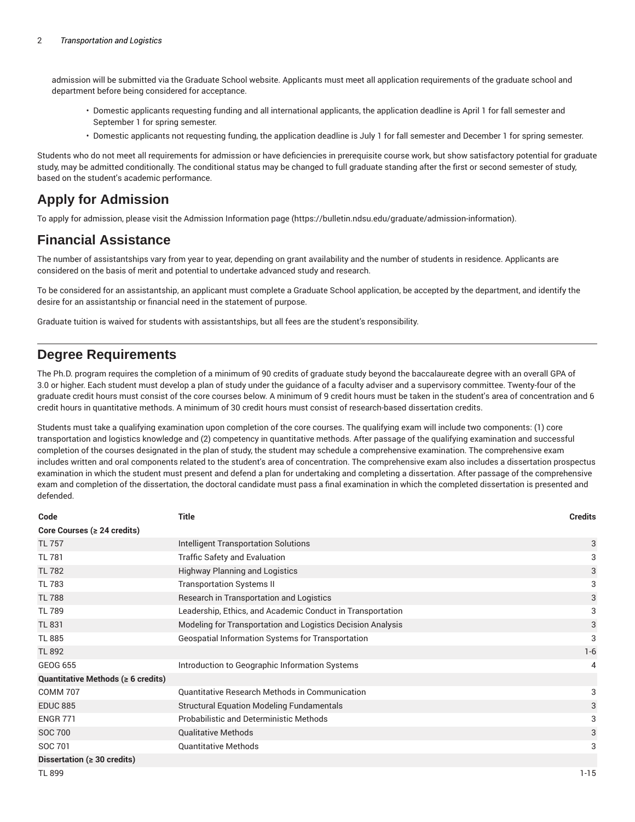admission will be submitted via the Graduate School website. Applicants must meet all application requirements of the graduate school and department before being considered for acceptance.

- Domestic applicants requesting funding and all international applicants, the application deadline is April 1 for fall semester and September 1 for spring semester.
- Domestic applicants not requesting funding, the application deadline is July 1 for fall semester and December 1 for spring semester.

Students who do not meet all requirements for admission or have deficiencies in prerequisite course work, but show satisfactory potential for graduate study, may be admitted conditionally. The conditional status may be changed to full graduate standing after the first or second semester of study, based on the student's academic performance.

### **Apply for Admission**

To apply for admission, please visit the Admission Information page (https://bulletin.ndsu.edu/graduate/admission-information).

### **Financial Assistance**

The number of assistantships vary from year to year, depending on grant availability and the number of students in residence. Applicants are considered on the basis of merit and potential to undertake advanced study and research.

To be considered for an assistantship, an applicant must complete a Graduate School application, be accepted by the department, and identify the desire for an assistantship or financial need in the statement of purpose.

Graduate tuition is waived for students with assistantships, but all fees are the student's responsibility.

### **Degree Requirements**

The Ph.D. program requires the completion of a minimum of 90 credits of graduate study beyond the baccalaureate degree with an overall GPA of 3.0 or higher. Each student must develop a plan of study under the guidance of a faculty adviser and a supervisory committee. Twenty-four of the graduate credit hours must consist of the core courses below. A minimum of 9 credit hours must be taken in the student's area of concentration and 6 credit hours in quantitative methods. A minimum of 30 credit hours must consist of research-based dissertation credits.

Students must take a qualifying examination upon completion of the core courses. The qualifying exam will include two components: (1) core transportation and logistics knowledge and (2) competency in quantitative methods. After passage of the qualifying examination and successful completion of the courses designated in the plan of study, the student may schedule a comprehensive examination. The comprehensive exam includes written and oral components related to the student's area of concentration. The comprehensive exam also includes a dissertation prospectus examination in which the student must present and defend a plan for undertaking and completing a dissertation. After passage of the comprehensive exam and completion of the dissertation, the doctoral candidate must pass a final examination in which the completed dissertation is presented and defended.

| Code                                     | <b>Title</b>                                                | <b>Credits</b> |
|------------------------------------------|-------------------------------------------------------------|----------------|
| Core Courses ( $\geq 24$ credits)        |                                                             |                |
| <b>TL 757</b>                            | Intelligent Transportation Solutions                        | 3              |
| <b>TL 781</b>                            | <b>Traffic Safety and Evaluation</b>                        | 3              |
| <b>TL 782</b>                            | <b>Highway Planning and Logistics</b>                       | 3              |
| <b>TL 783</b>                            | <b>Transportation Systems II</b>                            | 3              |
| <b>TL 788</b>                            | Research in Transportation and Logistics                    | 3              |
| <b>TL 789</b>                            | Leadership, Ethics, and Academic Conduct in Transportation  | 3              |
| <b>TL 831</b>                            | Modeling for Transportation and Logistics Decision Analysis | 3              |
| <b>TL 885</b>                            | Geospatial Information Systems for Transportation           | 3              |
| <b>TL 892</b>                            |                                                             | $1 - 6$        |
| <b>GEOG 655</b>                          | Introduction to Geographic Information Systems              | 4              |
| Quantitative Methods ( $\geq 6$ credits) |                                                             |                |
| <b>COMM 707</b>                          | Quantitative Research Methods in Communication              | 3              |
| <b>EDUC 885</b>                          | <b>Structural Equation Modeling Fundamentals</b>            | 3              |
| <b>ENGR 771</b>                          | Probabilistic and Deterministic Methods                     | 3              |
| <b>SOC 700</b>                           | <b>Qualitative Methods</b>                                  | 3              |
| SOC 701                                  | <b>Quantitative Methods</b>                                 | 3              |
| Dissertation ( $\geq 30$ credits)        |                                                             |                |
| <b>TL 899</b>                            |                                                             | $1 - 15$       |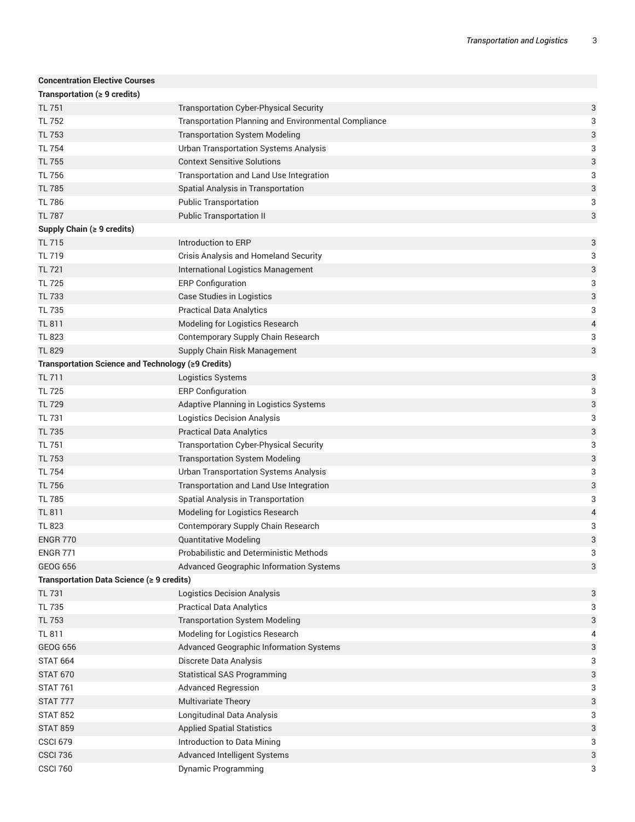| <b>Concentration Elective Courses</b>              |                                                             |   |
|----------------------------------------------------|-------------------------------------------------------------|---|
| Transportation ( $\geq 9$ credits)                 |                                                             |   |
| <b>TL 751</b>                                      | <b>Transportation Cyber-Physical Security</b>               | 3 |
| TL 752                                             | <b>Transportation Planning and Environmental Compliance</b> | 3 |
| <b>TL 753</b>                                      | <b>Transportation System Modeling</b>                       | 3 |
| <b>TL 754</b>                                      | <b>Urban Transportation Systems Analysis</b>                | 3 |
| <b>TL 755</b>                                      | <b>Context Sensitive Solutions</b>                          | 3 |
| <b>TL 756</b>                                      | Transportation and Land Use Integration                     | 3 |
| <b>TL 785</b>                                      | Spatial Analysis in Transportation                          | 3 |
| <b>TL 786</b>                                      | <b>Public Transportation</b>                                | 3 |
| <b>TL 787</b>                                      | <b>Public Transportation II</b>                             | 3 |
| Supply Chain $( \geq 9 \text{ credits})$           |                                                             |   |
| <b>TL 715</b>                                      | Introduction to ERP                                         | 3 |
| <b>TL 719</b>                                      | Crisis Analysis and Homeland Security                       | 3 |
| <b>TL 721</b>                                      | International Logistics Management                          | 3 |
| <b>TL 725</b>                                      | <b>ERP Configuration</b>                                    | 3 |
| <b>TL 733</b>                                      | Case Studies in Logistics                                   | 3 |
| <b>TL 735</b>                                      | <b>Practical Data Analytics</b>                             | 3 |
| <b>TL 811</b>                                      | Modeling for Logistics Research                             | 4 |
| <b>TL 823</b>                                      | Contemporary Supply Chain Research                          | 3 |
| <b>TL 829</b>                                      | Supply Chain Risk Management                                | 3 |
| Transportation Science and Technology (≥9 Credits) |                                                             |   |
| <b>TL 711</b>                                      | Logistics Systems                                           | 3 |
| <b>TL 725</b>                                      | <b>ERP Configuration</b>                                    | 3 |
| <b>TL 729</b>                                      | Adaptive Planning in Logistics Systems                      | 3 |
| <b>TL 731</b>                                      | <b>Logistics Decision Analysis</b>                          | 3 |
| <b>TL 735</b>                                      | <b>Practical Data Analytics</b>                             | 3 |
| <b>TL 751</b>                                      | <b>Transportation Cyber-Physical Security</b>               | 3 |
| <b>TL 753</b>                                      | <b>Transportation System Modeling</b>                       | 3 |
| <b>TL 754</b>                                      | <b>Urban Transportation Systems Analysis</b>                | 3 |
| <b>TL 756</b>                                      | Transportation and Land Use Integration                     | 3 |
| <b>TL 785</b>                                      | Spatial Analysis in Transportation                          | 3 |
| <b>TL 811</b>                                      | Modeling for Logistics Research                             | 4 |
| <b>TL 823</b>                                      | Contemporary Supply Chain Research                          | 3 |
| <b>ENGR 770</b>                                    | <b>Quantitative Modeling</b>                                | 3 |
| <b>ENGR 771</b>                                    | Probabilistic and Deterministic Methods                     | 3 |
| <b>GEOG 656</b>                                    | Advanced Geographic Information Systems                     | 3 |
| Transportation Data Science (≥ 9 credits)          |                                                             |   |
| <b>TL 731</b>                                      | <b>Logistics Decision Analysis</b>                          | 3 |
| <b>TL 735</b>                                      | <b>Practical Data Analytics</b>                             | 3 |
| <b>TL 753</b>                                      | <b>Transportation System Modeling</b>                       | 3 |
| TL 811                                             | Modeling for Logistics Research                             | 4 |
| <b>GEOG 656</b>                                    | Advanced Geographic Information Systems                     | 3 |
| <b>STAT 664</b>                                    | Discrete Data Analysis                                      | 3 |
| <b>STAT 670</b>                                    | <b>Statistical SAS Programming</b>                          | 3 |
| <b>STAT 761</b>                                    | <b>Advanced Regression</b>                                  | 3 |
| <b>STAT 777</b>                                    | Multivariate Theory                                         | 3 |
| <b>STAT 852</b>                                    | Longitudinal Data Analysis                                  | 3 |
| <b>STAT 859</b>                                    | <b>Applied Spatial Statistics</b>                           | 3 |
| <b>CSCI 679</b>                                    | Introduction to Data Mining                                 | 3 |
| <b>CSCI 736</b>                                    | Advanced Intelligent Systems                                | 3 |
| <b>CSCI 760</b>                                    | Dynamic Programming                                         | 3 |
|                                                    |                                                             |   |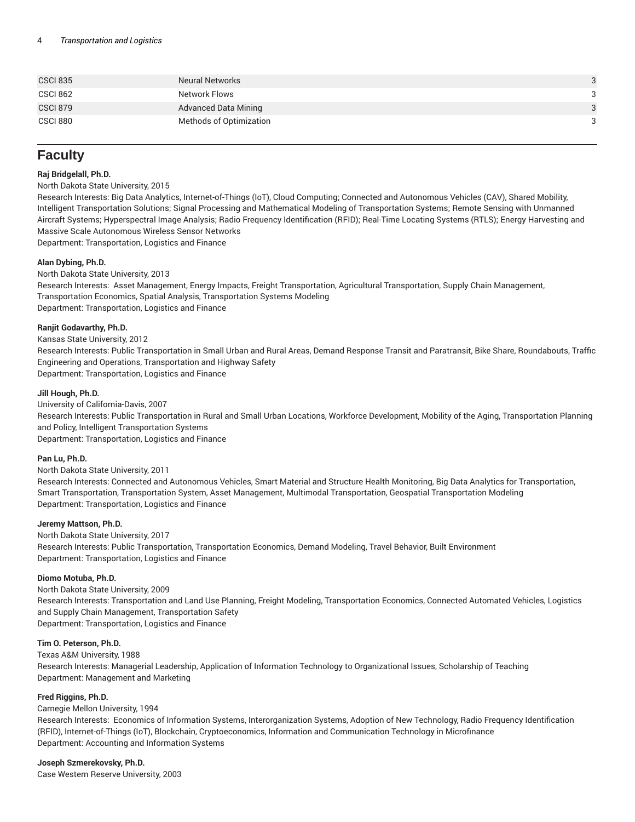| <b>CSCI 835</b> | <b>Neural Networks</b>      | 3 |
|-----------------|-----------------------------|---|
| CSCI 862        | Network Flows               | 3 |
| <b>CSCI 879</b> | <b>Advanced Data Mining</b> | 3 |
| <b>CSCI 880</b> | Methods of Optimization     | 3 |
|                 |                             |   |

### **Faculty**

#### **Raj Bridgelall, Ph.D.**

#### North Dakota State University, 2015

Research Interests: Big Data Analytics, Internet-of-Things (IoT), Cloud Computing; Connected and Autonomous Vehicles (CAV), Shared Mobility, Intelligent Transportation Solutions; Signal Processing and Mathematical Modeling of Transportation Systems; Remote Sensing with Unmanned Aircraft Systems; Hyperspectral Image Analysis; Radio Frequency Identification (RFID); Real-Time Locating Systems (RTLS); Energy Harvesting and Massive Scale Autonomous Wireless Sensor Networks Department: Transportation, Logistics and Finance

**Alan Dybing, Ph.D.**

North Dakota State University, 2013 Research Interests: Asset Management, Energy Impacts, Freight Transportation, Agricultural Transportation, Supply Chain Management, Transportation Economics, Spatial Analysis, Transportation Systems Modeling Department: Transportation, Logistics and Finance

#### **Ranjit Godavarthy, Ph.D.**

#### Kansas State University, 2012

Research Interests: Public Transportation in Small Urban and Rural Areas, Demand Response Transit and Paratransit, Bike Share, Roundabouts, Traffic Engineering and Operations, Transportation and Highway Safety Department: Transportation, Logistics and Finance

#### **Jill Hough, Ph.D.**

University of California-Davis, 2007 Research Interests: Public Transportation in Rural and Small Urban Locations, Workforce Development, Mobility of the Aging, Transportation Planning and Policy, Intelligent Transportation Systems Department: Transportation, Logistics and Finance

#### **Pan Lu, Ph.D.**

#### North Dakota State University, 2011

Research Interests: Connected and Autonomous Vehicles, Smart Material and Structure Health Monitoring, Big Data Analytics for Transportation, Smart Transportation, Transportation System, Asset Management, Multimodal Transportation, Geospatial Transportation Modeling Department: Transportation, Logistics and Finance

#### **Jeremy Mattson, Ph.D.**

North Dakota State University, 2017 Research Interests: Public Transportation, Transportation Economics, Demand Modeling, Travel Behavior, Built Environment Department: Transportation, Logistics and Finance

#### **Diomo Motuba, Ph.D.**

North Dakota State University, 2009 Research Interests: Transportation and Land Use Planning, Freight Modeling, Transportation Economics, Connected Automated Vehicles, Logistics and Supply Chain Management, Transportation Safety Department: Transportation, Logistics and Finance

#### **Tim O. Peterson, Ph.D.**

Texas A&M University, 1988 Research Interests: Managerial Leadership, Application of Information Technology to Organizational Issues, Scholarship of Teaching Department: Management and Marketing

#### **Fred Riggins, Ph.D.**

Carnegie Mellon University, 1994

Research Interests: Economics of Information Systems, Interorganization Systems, Adoption of New Technology, Radio Frequency Identification (RFID), Internet-of-Things (IoT), Blockchain, Cryptoeconomics, Information and Communication Technology in Microfinance Department: Accounting and Information Systems

#### **Joseph Szmerekovsky, Ph.D.**

Case Western Reserve University, 2003